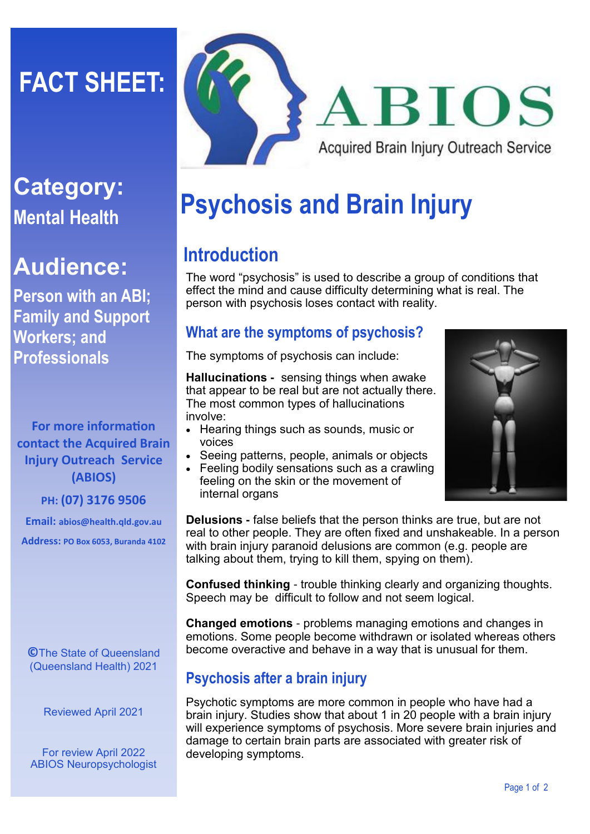# **FACT SHEET:**

# **Category: Mental Health**

# **Audience:**

**Person with an ABI; Family and Support Workers; and Professionals**

**For more information contact the Acquired Brain Injury Outreach Service (ABIOS)**

**PH: (07) 3176 9506**

**Email: abios@health.qld.gov.au** 

**Address: PO Box 6053, Buranda 4102**

**©**The State of Queensland (Queensland Health) 2021

Reviewed April 2021

For review April 2022 ABIOS Neuropsychologist



# **Psychosis and Brain Injury**

## **Introduction**

The word "psychosis" is used to describe a group of conditions that effect the mind and cause difficulty determining what is real. The person with psychosis loses contact with reality.

### **What are the symptoms of psychosis?**

The symptoms of psychosis can include:

**Hallucinations -** sensing things when awake that appear to be real but are not actually there. The most common types of hallucinations involve:

- Hearing things such as sounds, music or voices
- Seeing patterns, people, animals or objects
- Feeling bodily sensations such as a crawling feeling on the skin or the movement of internal organs

**Delusions -** false beliefs that the person thinks are true, but are not real to other people. They are often fixed and unshakeable. In a person with brain injury paranoid delusions are common (e.g. people are talking about them, trying to kill them, spying on them).

**Confused thinking** - trouble thinking clearly and organizing thoughts. Speech may be difficult to follow and not seem logical.

**Changed emotions** - problems managing emotions and changes in emotions. Some people become withdrawn or isolated whereas others become overactive and behave in a way that is unusual for them.

## **Psychosis after a brain injury**

Psychotic symptoms are more common in people who have had a brain injury. Studies show that about 1 in 20 people with a brain injury will experience symptoms of psychosis. More severe brain injuries and damage to certain brain parts are associated with greater risk of developing symptoms.